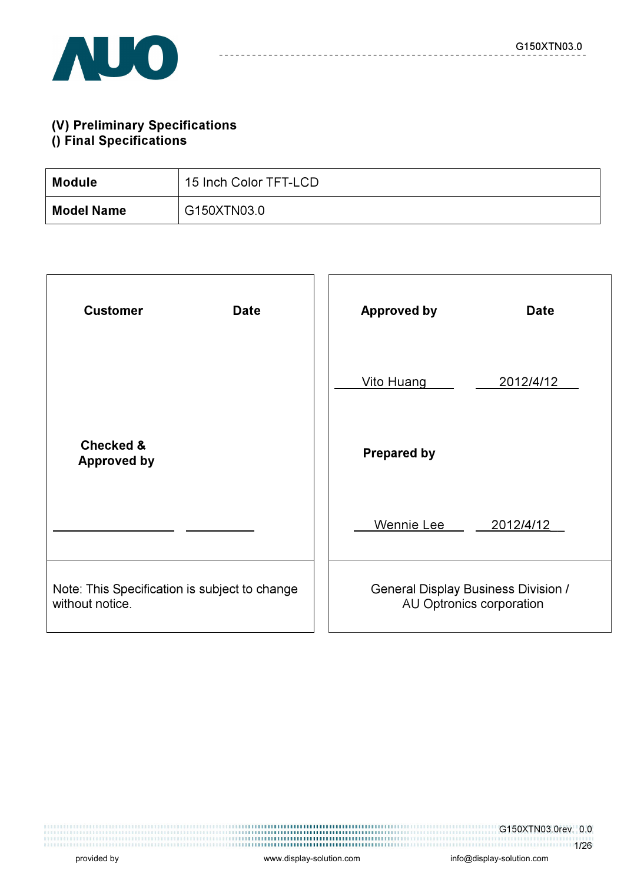

### (V) Preliminary Specifications () Final Specifications

| Module            | 15 Inch Color TFT-LCD |
|-------------------|-----------------------|
| <b>Model Name</b> | G150XTN03.0           |

| <b>Customer</b><br><b>Date</b>                                   | <b>Approved by</b><br><b>Date</b>                                      |
|------------------------------------------------------------------|------------------------------------------------------------------------|
|                                                                  | Vito Huang<br>2012/4/12                                                |
| <b>Checked &amp;</b><br><b>Approved by</b>                       | <b>Prepared by</b>                                                     |
|                                                                  | Wennie Lee<br>2012/4/12                                                |
| Note: This Specification is subject to change<br>without notice. | <b>General Display Business Division /</b><br>AU Optronics corporation |

1/26

G150XTN03.0rev. 0.0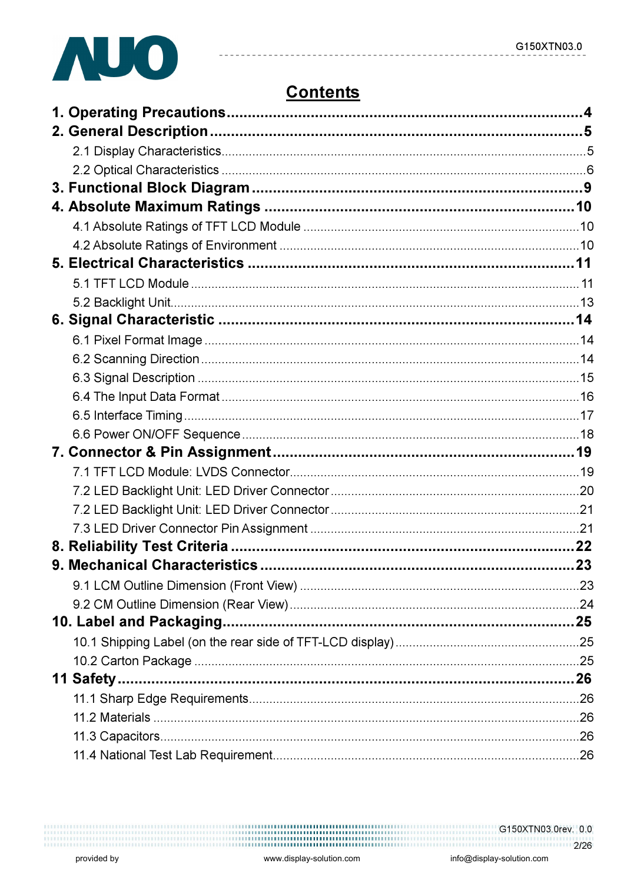

# **Contents**

 $- - - - - -$ 

| 11 Safety |  |
|-----------|--|
|           |  |
|           |  |
|           |  |
|           |  |

 $\frac{1111111}{11111111}$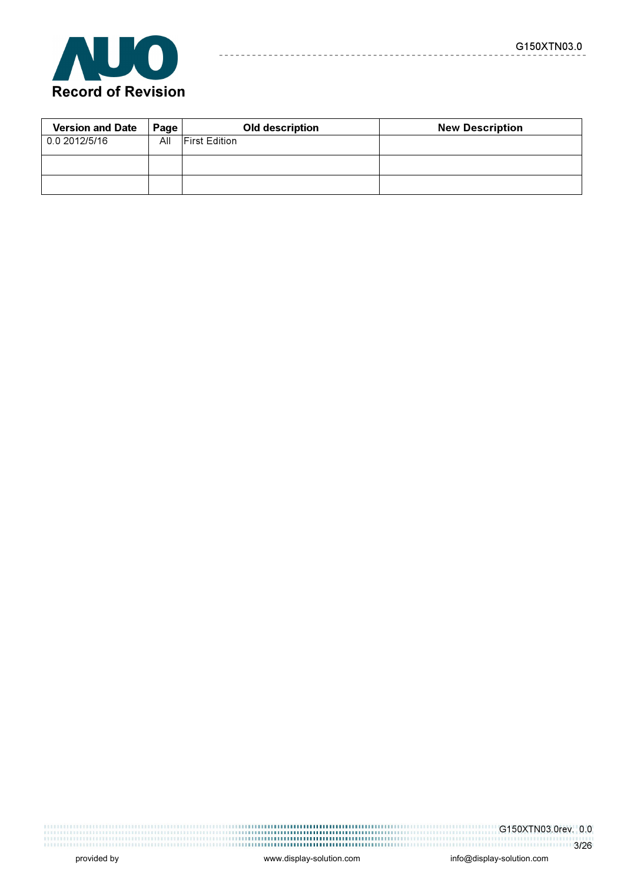

| <b>Version and Date</b> | Page | <b>Old description</b> | <b>New Description</b> |
|-------------------------|------|------------------------|------------------------|
| 0.0 2012/5/16           | All  | <b>First Edition</b>   |                        |
|                         |      |                        |                        |
|                         |      |                        |                        |

 $- - - - - -$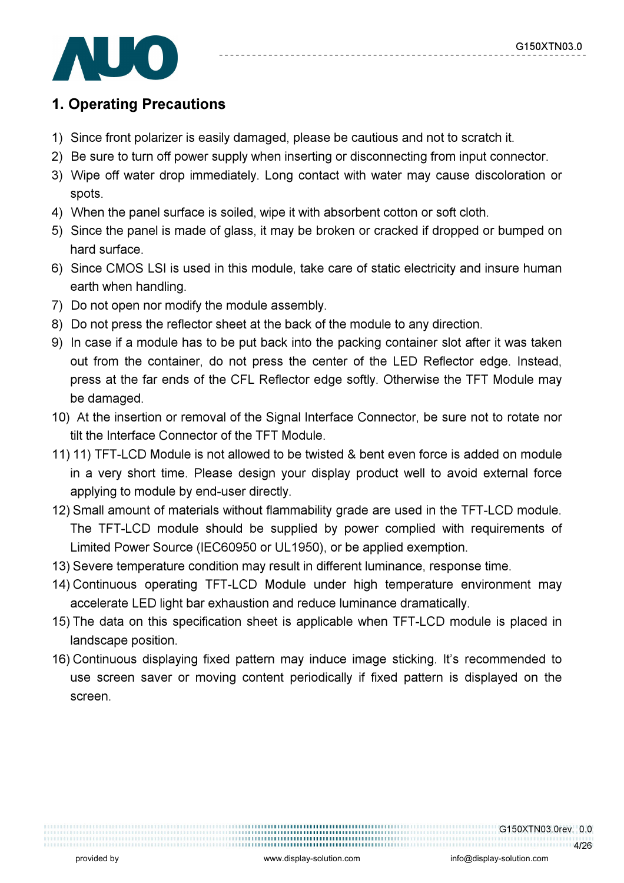

## 1. Operating Precautions

- 1) Since front polarizer is easily damaged, please be cautious and not to scratch it.
- 2) Be sure to turn off power supply when inserting or disconnecting from input connector.
- 3) Wipe off water drop immediately. Long contact with water may cause discoloration or spots.
- 4) When the panel surface is soiled, wipe it with absorbent cotton or soft cloth.
- 5) Since the panel is made of glass, it may be broken or cracked if dropped or bumped on hard surface.
- 6) Since CMOS LSI is used in this module, take care of static electricity and insure human earth when handling.
- 7) Do not open nor modify the module assembly.
- 8) Do not press the reflector sheet at the back of the module to any direction.
- 9) In case if a module has to be put back into the packing container slot after it was taken out from the container, do not press the center of the LED Reflector edge. Instead, press at the far ends of the CFL Reflector edge softly. Otherwise the TFT Module may be damaged.
- 10) At the insertion or removal of the Signal Interface Connector, be sure not to rotate nor tilt the Interface Connector of the TFT Module.
- 11) 11) TFT-LCD Module is not allowed to be twisted & bent even force is added on module in a very short time. Please design your display product well to avoid external force applying to module by end-user directly.
- 12) Small amount of materials without flammability grade are used in the TFT-LCD module. The TFT-LCD module should be supplied by power complied with requirements of Limited Power Source (IEC60950 or UL1950), or be applied exemption.
- 13) Severe temperature condition may result in different luminance, response time.
- 14) Continuous operating TFT-LCD Module under high temperature environment may accelerate LED light bar exhaustion and reduce luminance dramatically.
- 15) The data on this specification sheet is applicable when TFT-LCD module is placed in landscape position.
- 16) Continuous displaying fixed pattern may induce image sticking. It's recommended to use screen saver or moving content periodically if fixed pattern is displayed on the screen.

G150XTN03.0rev. 0.0

..................................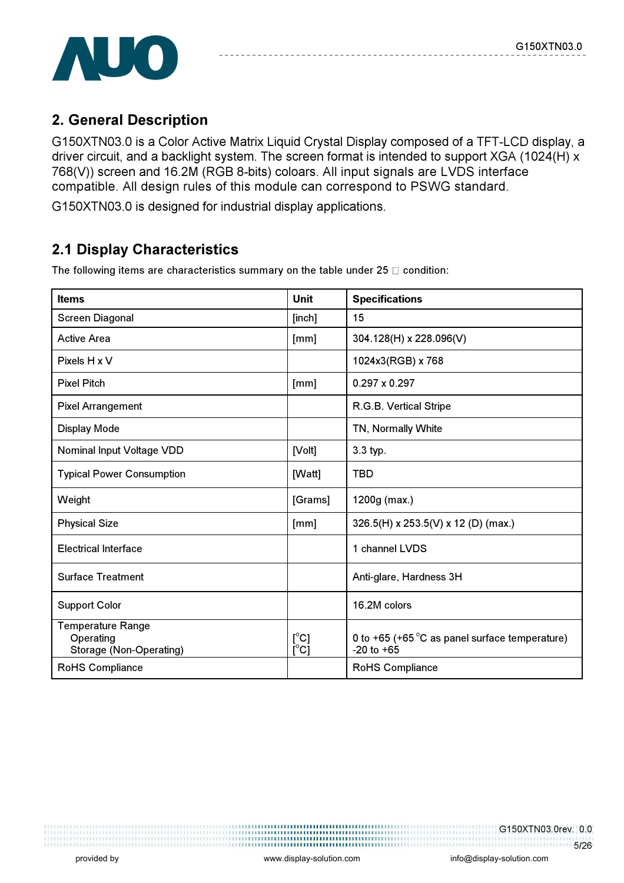

## 2. General Description

G150XTN03.0 is a Color Active Matrix Liquid Crystal Display composed of a TFT-LCD display, a driver circuit, and a backlight system. The screen format is intended to support XGA (1024(H) x 768(V)) screen and 16.2M (RGB 8-bits) coloars. All input signals are LVDS interface compatible. All design rules of this module can correspond to PSWG standard.

G150XTN03.0 is designed for industrial display applications.

# 2.1 Display Characteristics

| <b>Items</b>                                                     | <b>Unit</b>                              | <b>Specifications</b>                                                     |
|------------------------------------------------------------------|------------------------------------------|---------------------------------------------------------------------------|
| <b>Screen Diagonal</b>                                           | [inch]                                   | 15                                                                        |
| <b>Active Area</b>                                               | [mm]                                     | 304.128(H) x 228.096(V)                                                   |
| Pixels H x V                                                     |                                          | 1024x3(RGB) x 768                                                         |
| <b>Pixel Pitch</b>                                               | [mm]                                     | $0.297 \times 0.297$                                                      |
| <b>Pixel Arrangement</b>                                         |                                          | R.G.B. Vertical Stripe                                                    |
| Display Mode                                                     |                                          | TN, Normally White                                                        |
| <b>Nominal Input Voltage VDD</b>                                 | [Volt]                                   | 3.3 typ.                                                                  |
| <b>Typical Power Consumption</b>                                 | [Watt]                                   | TBD                                                                       |
| Weight                                                           | [Grams]                                  | 1200g (max.)                                                              |
| <b>Physical Size</b>                                             | [mm]                                     | 326.5(H) x 253.5(V) x 12 (D) (max.)                                       |
| <b>Electrical Interface</b>                                      |                                          | 1 channel LVDS                                                            |
| <b>Surface Treatment</b>                                         |                                          | Anti-glare, Hardness 3H                                                   |
| <b>Support Color</b>                                             |                                          | 16.2M colors                                                              |
| <b>Temperature Range</b><br>Operating<br>Storage (Non-Operating) | $\mathsf{I}^{\circ}$ C]<br>$[^{\circ}C]$ | 0 to +65 (+65 $\degree$ C as panel surface temperature)<br>$-20$ to $+65$ |
| RoHS Compliance                                                  |                                          | RoHS Compliance                                                           |

The following items are characteristics summary on the table under  $25 \Box$  condition:

G150XTN03.0rev. 0.0 5/26

,,,,,,,,,,,,,,,,,,,,,,,,,,,,,,,,,,,,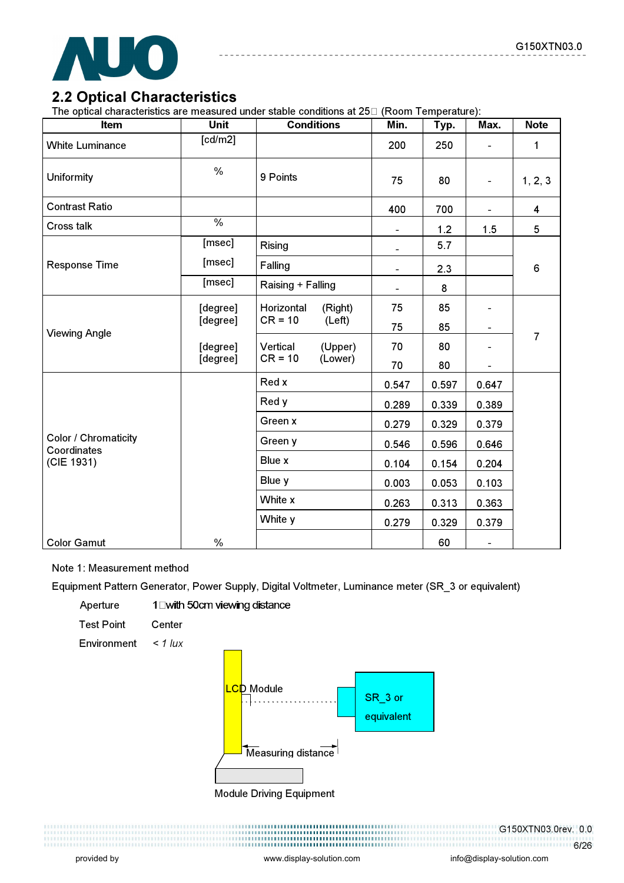

### 2.2 Optical Characteristics

The optical characteristics are measured under stable conditions at 25 (Room Temperature):

| Item                                | <b>Unit</b>   | <b>Conditions</b>     | Min.           | Typ.  | Max.                     | <b>Note</b>             |
|-------------------------------------|---------------|-----------------------|----------------|-------|--------------------------|-------------------------|
| <b>White Luminance</b>              | [cd/m2]       |                       | 200            | 250   |                          | $\mathbf{1}$            |
| Uniformity                          | $\%$          | 9 Points              | 75             | 80    | $\overline{\phantom{a}}$ | 1, 2, 3                 |
| <b>Contrast Ratio</b>               |               |                       | 400            | 700   |                          | $\overline{\mathbf{4}}$ |
| Cross talk                          | $\frac{0}{0}$ |                       | $\blacksquare$ | 1.2   | 1.5                      | 5                       |
|                                     | [msec]        | <b>Rising</b>         | $\overline{a}$ | 5.7   |                          |                         |
| <b>Response Time</b>                | [msec]        | Falling               | $\blacksquare$ | 2.3   |                          | 6                       |
|                                     | [msec]        | Raising + Falling     |                | 8     |                          |                         |
|                                     | [degree]      | Horizontal<br>(Right) | 75             | 85    | $\overline{\phantom{a}}$ | $\overline{7}$          |
| <b>Viewing Angle</b>                | [degree]      | $CR = 10$<br>(Left)   | 75             | 85    | $\blacksquare$           |                         |
|                                     | [degree]      | (Upper)<br>Vertical   | 70             | 80    |                          |                         |
|                                     | [degree]      | $CR = 10$<br>(Lower)  | 70             | 80    |                          |                         |
|                                     |               | Red x                 | 0.547          | 0.597 | 0.647                    |                         |
|                                     |               | Red y                 | 0.289          | 0.339 | 0.389                    |                         |
|                                     |               | Green x               | 0.279          | 0.329 | 0.379                    |                         |
| Color / Chromaticity<br>Coordinates |               | Green y               | 0.546          | 0.596 | 0.646                    |                         |
| (CIE 1931)                          |               | Blue x                | 0.104          | 0.154 | 0.204                    |                         |
|                                     |               | Blue y                | 0.003          | 0.053 | 0.103                    |                         |
|                                     |               | White x               | 0.263          | 0.313 | 0.363                    |                         |
|                                     |               | White y               | 0.279          | 0.329 | 0.379                    |                         |
| <b>Color Gamut</b>                  | $\frac{0}{0}$ |                       |                | 60    | $\blacksquare$           |                         |

#### Note 1: Measurement method

Equipment Pattern Generator, Power Supply, Digital Voltmeter, Luminance meter (SR\_3 or equivalent)

Aperture 1⊡with 50cm viewing distance

Test Point Center

Environment  $\lt$  1 lux



Module Driving Equipment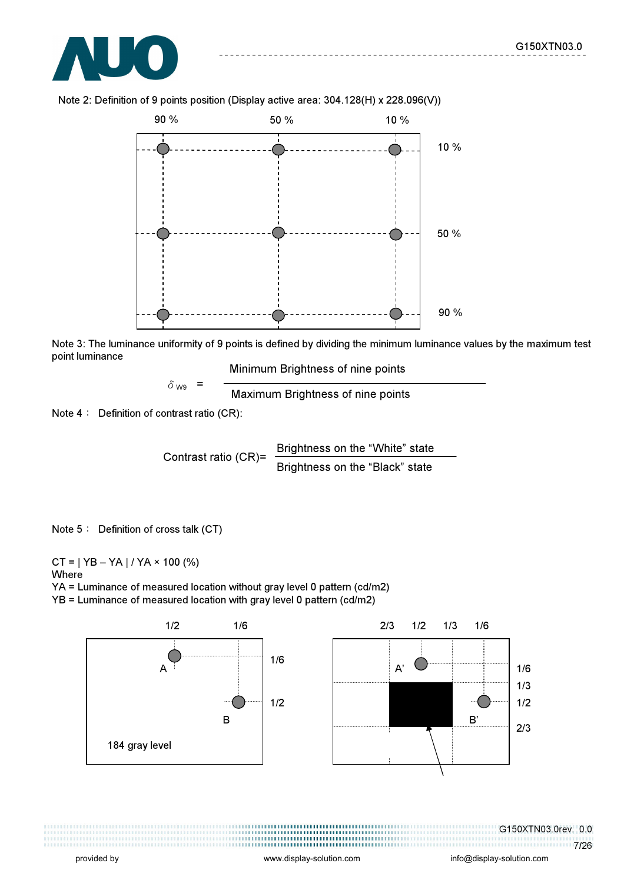



Note 2: Definition of 9 points position (Display active area: 304.128(H) x 228.096(V))

Note 3: The luminance uniformity of 9 points is defined by dividing the minimum luminance values by the maximum test point luminance

Minimum Brightness of nine points

 $\delta_{\text{W9}}$  =  $\frac{1}{\text{Maximum~Brighteness of nine points}}$ 

Note  $4:$  Definition of contrast ratio (CR):

Contrast ratio  $(CR)$ = Brightness on the "White" state Brightness on the "Black" state

Note 5: Definition of cross talk (CT)

 $CT = | YB - YA | / YA \times 100 (%)$ Where YA = Luminance of measured location without gray level 0 pattern (cd/m2)

YB = Luminance of measured location with gray level 0 pattern (cd/m2)



G150XTN03.0rev. 0.0 7/26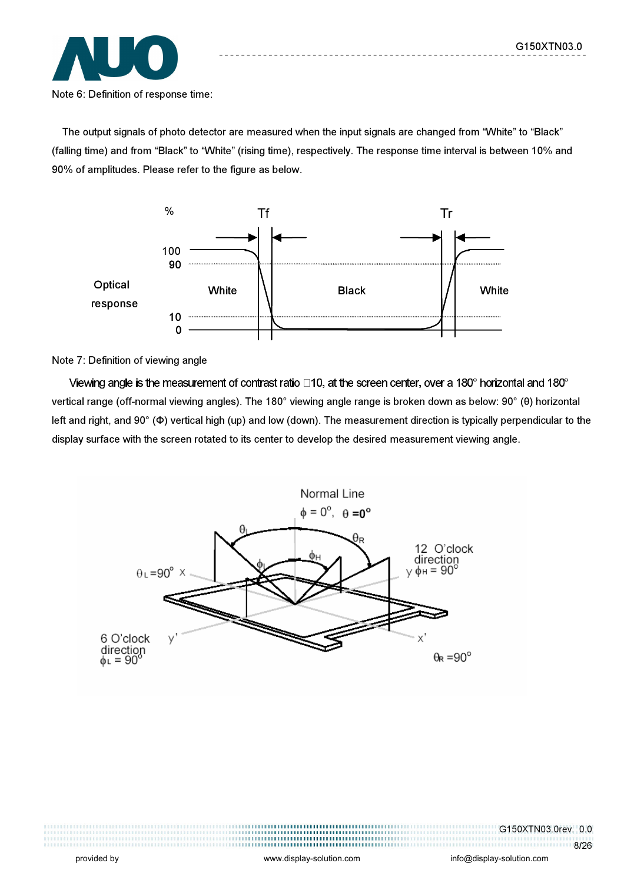

The output signals of photo detector are measured when the input signals are changed from "White" to "Black" (falling time) and from "Black" to "White" (rising time), respectively. The response time interval is between 10% and 90% of amplitudes. Please refer to the figure as below.



Note 7: Definition of viewing angle

Viewing angle is the measurement of contrast ratio  $\Box$ 10, at the screen center, over a 180° horizontal and 180° vertical range (off-normal viewing angles). The 180° viewing angle range is broken down as below: 90° (θ) horizontal left and right, and 90° (Φ) vertical high (up) and low (down). The measurement direction is typically perpendicular to the display surface with the screen rotated to its center to develop the desired measurement viewing angle.



G150XTN03.0rev. 0.0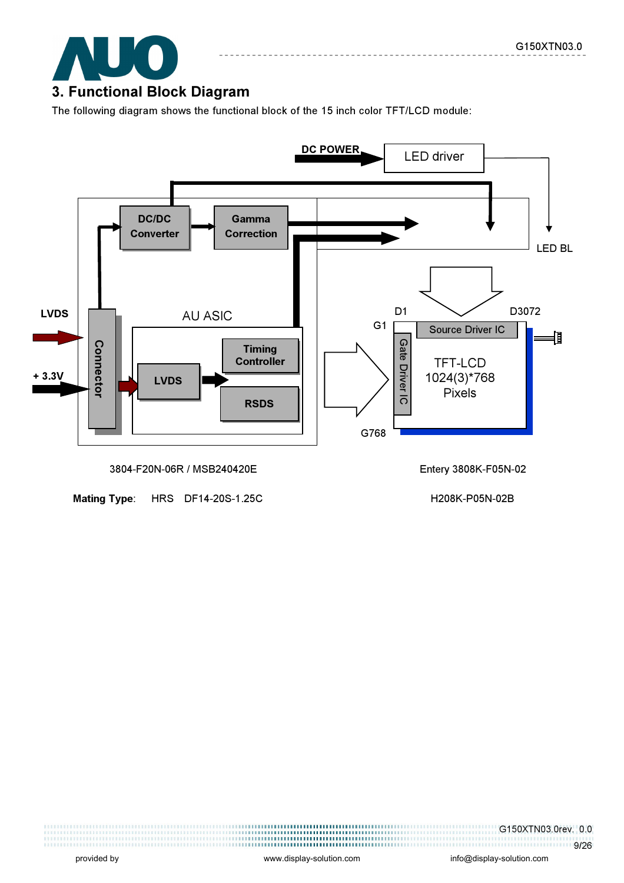

The following diagram shows the functional block of the 15 inch color TFT/LCD module:



Mating Type: HRS DF14-20S-1.25C H208K-P05N-02B

G150XTN03.0rev. 0.0 1111111111111111111119/26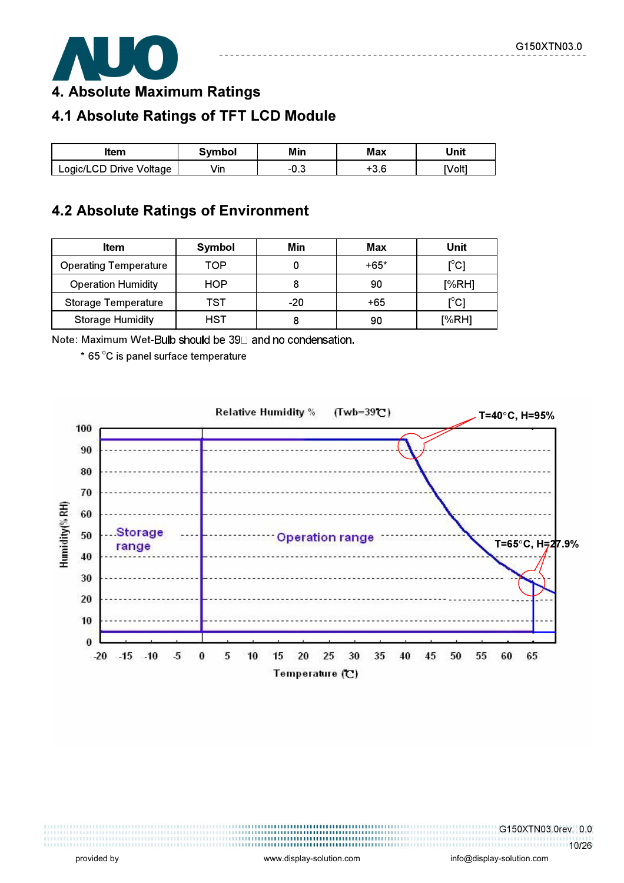

4. Absolute Maximum Ratings

# 4.1 Absolute Ratings of TFT LCD Module

| ltem                    | Svmbol | Min | Max           | Unit   |
|-------------------------|--------|-----|---------------|--------|
| Logic/LCD Drive Voltage | Vin    |     | . . c<br>־ס.כ | [Volt] |

### 4.2 Absolute Ratings of Environment

| Item                         | Symbol | Min   | Max    | Unit                                    |
|------------------------------|--------|-------|--------|-----------------------------------------|
| <b>Operating Temperature</b> | TOP    |       | $+65*$ | $\mathsf{I}^\circ\mathsf{C} \mathsf{I}$ |
| <b>Operation Humidity</b>    | HOP    |       | 90     | [%RH]                                   |
| <b>Storage Temperature</b>   | TST    | $-20$ | +65    | [°C]                                    |
| <b>Storage Humidity</b>      | HST    |       | 90     | [%RH]                                   |

Note: Maximum Wet-Bulb should be 39□ and no condensation.

 $*$  65 $^{\circ}$ C is panel surface temperature

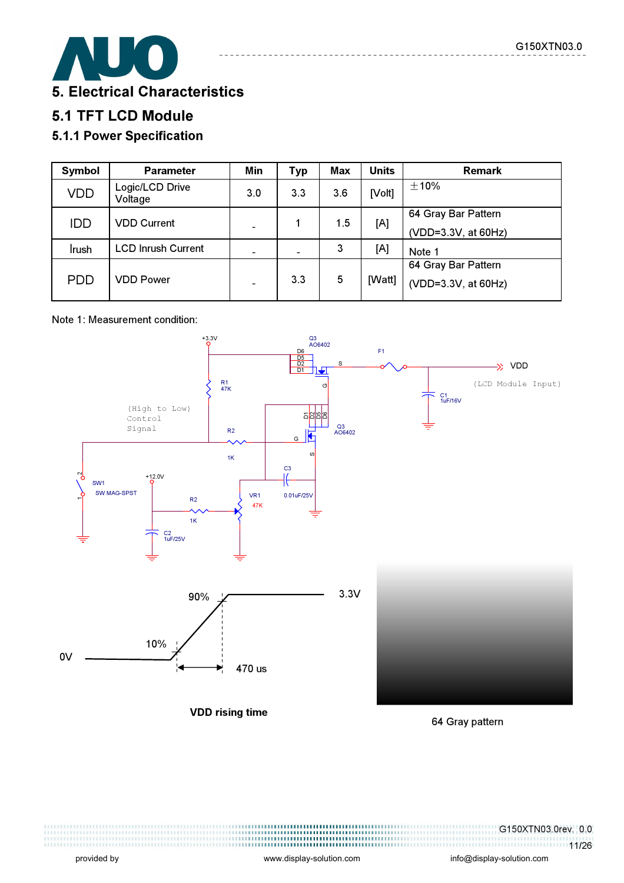

# 5.1 TFT LCD Module

### 5.1.1 Power Specification

| Symbol     | <b>Parameter</b>           | Min | <b>Typ</b>               | Max | <b>Units</b> | <b>Remark</b>                              |
|------------|----------------------------|-----|--------------------------|-----|--------------|--------------------------------------------|
| <b>VDD</b> | Logic/LCD Drive<br>Voltage | 3.0 | 3.3                      | 3.6 | [Volt]       | $\pm$ 10%                                  |
| IDD        | <b>VDD Current</b>         |     |                          | 1.5 | [A]          | 64 Gray Bar Pattern<br>(VDD=3.3V, at 60Hz) |
| Irush      | <b>LCD Inrush Current</b>  |     | $\overline{\phantom{0}}$ | 3   | [A]          | Note 1                                     |
| <b>PDD</b> | <b>VDD Power</b>           |     | 3.3                      | 5   | [Watt]       | 64 Gray Bar Pattern<br>(VDD=3.3V, at 60Hz) |

#### Note 1: Measurement condition:



64 Gray pattern

,,,,,,,,,,,,,,,,,,,,,,,,,,,,,,,,,,,,, ,,,,,,,,,,,,,,,,,,,,,,,,,,,,,,,, G150XTN03.0rev. 0.0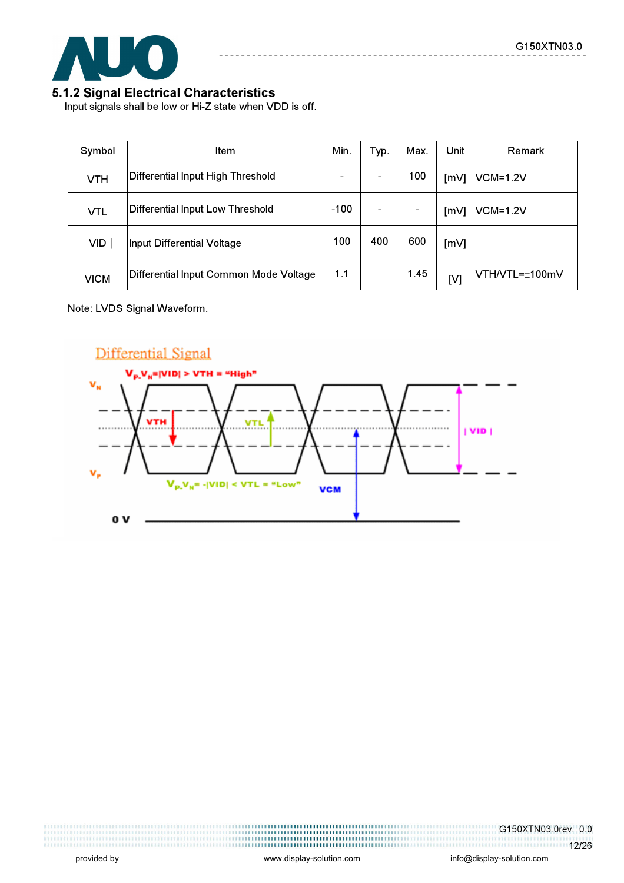

#### 5.1.2 Signal Electrical Characteristics

Input signals shall be low or Hi-Z state when VDD is off.

| Symbol      | Item                                   | Min. | Typ. | Max.          | Unit | <b>Remark</b>   |
|-------------|----------------------------------------|------|------|---------------|------|-----------------|
| <b>VTH</b>  | Differential Input High Threshold      |      |      | 100           | [mV] | <b>VCM=1.2V</b> |
| <b>VTL</b>  | Differential Input Low Threshold       |      |      | $\frac{1}{2}$ | [mV] | <b>VCM=1.2V</b> |
| <b>VID</b>  | Input Differential Voltage             |      | 400  | 600           | [mV] |                 |
| <b>VICM</b> | Differential Input Common Mode Voltage | 1.1  |      | 1.45          | [V]  | VTH/VTL=±100mV  |

Note: LVDS Signal Waveform.



G150XTN03.0rev. 0.0 12/26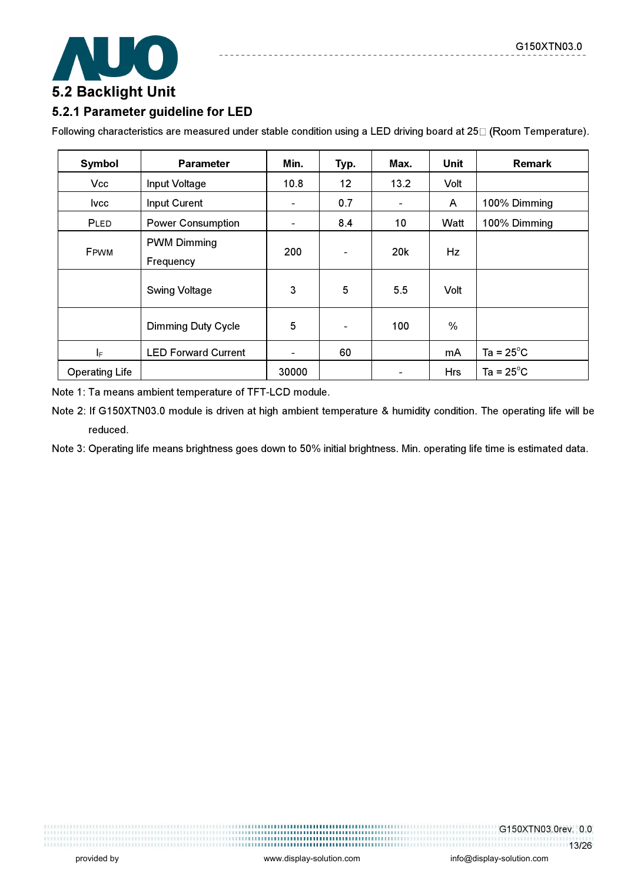

#### 5.2.1 Parameter guideline for LED

Following characteristics are measured under stable condition using a LED driving board at 25 $\Box$  (Room Temperature).

 $\frac{1}{2}$ 

| Symbol                | <b>Parameter</b>                | Min.           | Typ.                     | Max.            | Unit          | <b>Remark</b>       |
|-----------------------|---------------------------------|----------------|--------------------------|-----------------|---------------|---------------------|
| <b>Vcc</b>            | Input Voltage                   | 10.8           | 12                       | 13.2            | Volt          |                     |
| <b>Ivcc</b>           | Input Curent                    | ä,             | 0.7                      | $\blacksquare$  | A             | 100% Dimming        |
| PLED                  | <b>Power Consumption</b>        | $\blacksquare$ | 8.4                      | 10              | Watt          | 100% Dimming        |
| FPWM                  | <b>PWM Dimming</b><br>Frequency | 200            | $\overline{\phantom{a}}$ | 20 <sub>k</sub> | Hz            |                     |
|                       | <b>Swing Voltage</b>            | 3              | 5                        | 5.5             | Volt          |                     |
|                       | <b>Dimming Duty Cycle</b>       | 5              | $\overline{\phantom{a}}$ | 100             | $\frac{0}{0}$ |                     |
| I <sub>F</sub>        | <b>LED Forward Current</b>      | $\blacksquare$ | 60                       |                 | mA            | Ta = $25^{\circ}$ C |
| <b>Operating Life</b> |                                 | 30000          |                          |                 | Hrs           | Ta = $25^{\circ}$ C |

Note 1: Ta means ambient temperature of TFT-LCD module.

Note 2: If G150XTN03.0 module is driven at high ambient temperature & humidity condition. The operating life will be reduced.

Note 3: Operating life means brightness goes down to 50% initial brightness. Min. operating life time is estimated data.

G150XTN03.0rev. 0.0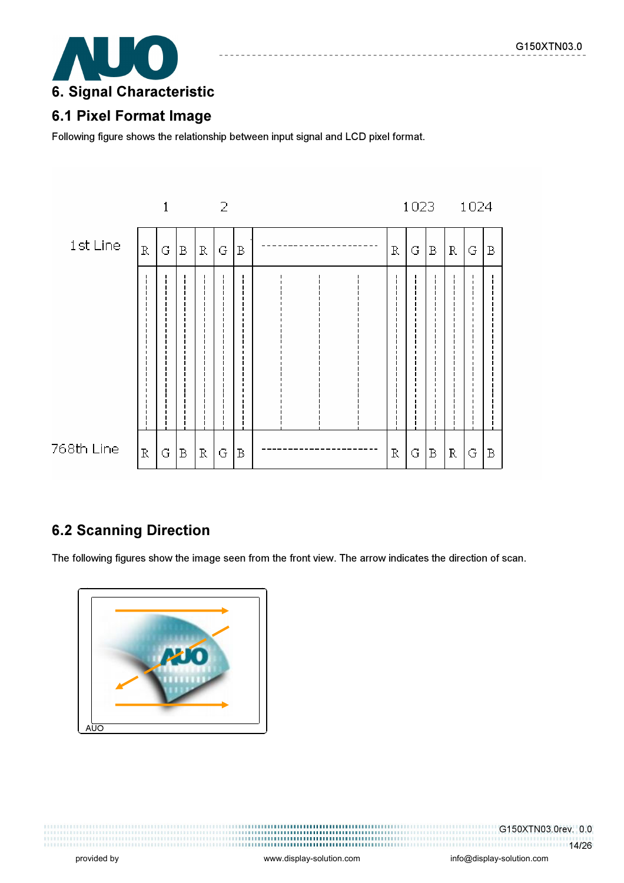

### 6.1 Pixel Format Image

Following figure shows the relationship between input signal and LCD pixel format.



# 6.2 Scanning Direction

The following figures show the image seen from the front view. The arrow indicates the direction of scan.



,,,,,,,,,,,,,,,,,,,,,,,,,,,,,,,,,,,

G150XTN03.0rev. 0.0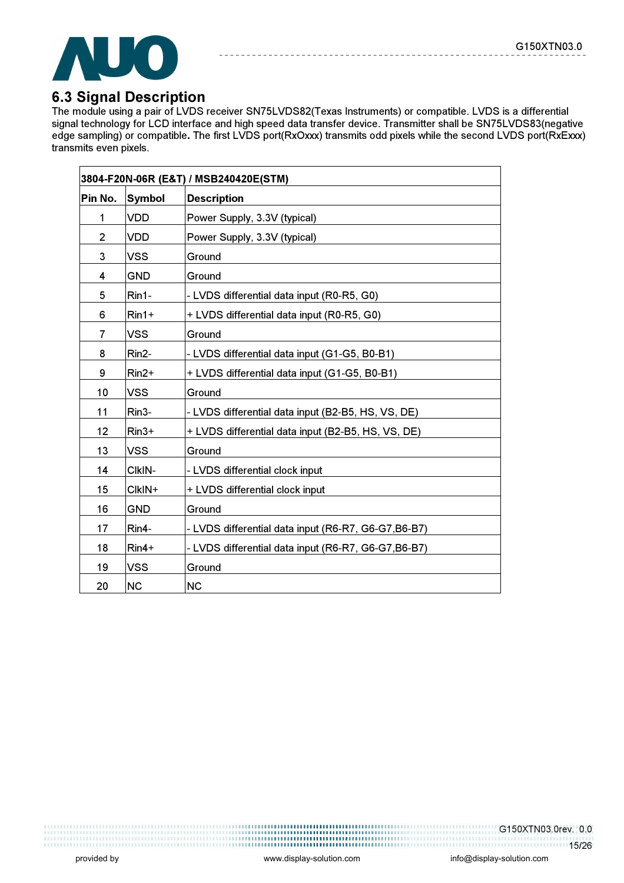

### 6.3 Signal Description

The module using a pair of LVDS receiver SN75LVDS82(Texas Instruments) or compatible. LVDS is a differential signal technology for LCD interface and high speed data transfer device. Transmitter shall be SN75LVDS83(negative edge sampling) or compatible. The first LVDS port(RxOxxx) transmits odd pixels while the second LVDS port(RxExxx) transmits even pixels.

|                |               | 3804-F20N-06R (E&T) / MSB240420E(STM)                |
|----------------|---------------|------------------------------------------------------|
| Pin No.        | <b>Symbol</b> | <b>Description</b>                                   |
| 1              | <b>VDD</b>    | Power Supply, 3.3V (typical)                         |
| $\overline{c}$ | <b>VDD</b>    | Power Supply, 3.3V (typical)                         |
| 3              | <b>VSS</b>    | Ground                                               |
| 4              | <b>GND</b>    | Ground                                               |
| 5              | Rin1-         | - LVDS differential data input (R0-R5, G0)           |
| 6              | $Rin1+$       | + LVDS differential data input (R0-R5, G0)           |
| 7              | <b>VSS</b>    | Ground                                               |
| 8              | Rin2-         | - LVDS differential data input (G1-G5, B0-B1)        |
| 9              | $Rin2+$       | + LVDS differential data input (G1-G5, B0-B1)        |
| 10             | <b>VSS</b>    | Ground                                               |
| 11             | Rin3-         | - LVDS differential data input (B2-B5, HS, VS, DE)   |
| 12             | $Rin3+$       | + LVDS differential data input (B2-B5, HS, VS, DE)   |
| 13             | <b>VSS</b>    | Ground                                               |
| 14             | CIkIN-        | - LVDS differential clock input                      |
| 15             | CIkIN+        | + LVDS differential clock input                      |
| 16             | <b>GND</b>    | Ground                                               |
| 17             | Rin4-         | - LVDS differential data input (R6-R7, G6-G7, B6-B7) |
| 18             | $Rin4+$       | - LVDS differential data input (R6-R7, G6-G7, B6-B7) |
| 19             | <b>VSS</b>    | Ground                                               |
| 20             | <b>NC</b>     | <b>NC</b>                                            |

G150XTN03.0rev. 0.0 15/26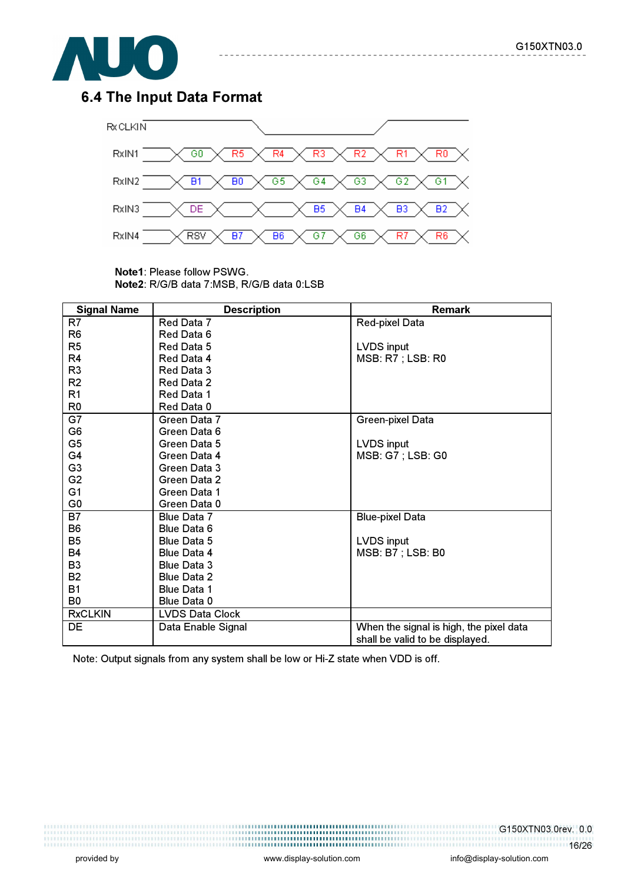

## 6.4 The Input Data Format



------------

\_\_\_\_\_\_\_\_\_\_\_\_\_\_

Note1: Please follow PSWG. Note2: R/G/B data 7:MSB, R/G/B data 0:LSB

| <b>Signal Name</b> | <b>Description</b>     | <b>Remark</b>                           |
|--------------------|------------------------|-----------------------------------------|
| R7                 | Red Data 7             | <b>Red-pixel Data</b>                   |
| R <sub>6</sub>     | Red Data 6             |                                         |
| R <sub>5</sub>     | Red Data 5             | LVDS input                              |
| R <sub>4</sub>     | Red Data 4             | <b>MSB: R7 ; LSB: R0</b>                |
| R <sub>3</sub>     | Red Data 3             |                                         |
| R <sub>2</sub>     | Red Data 2             |                                         |
| R1                 | Red Data 1             |                                         |
| R <sub>0</sub>     | Red Data 0             |                                         |
| G7                 | Green Data 7           | Green-pixel Data                        |
| G <sub>6</sub>     | Green Data 6           |                                         |
| G <sub>5</sub>     | Green Data 5           | <b>LVDS input</b>                       |
| G4                 | Green Data 4           | <b>MSB: G7 ; LSB: G0</b>                |
| G <sub>3</sub>     | Green Data 3           |                                         |
| G <sub>2</sub>     | Green Data 2           |                                         |
| G <sub>1</sub>     | Green Data 1           |                                         |
| G <sub>0</sub>     | Green Data 0           |                                         |
| B7                 | Blue Data 7            | <b>Blue-pixel Data</b>                  |
| B <sub>6</sub>     | Blue Data 6            |                                         |
| B <sub>5</sub>     | <b>Blue Data 5</b>     | LVDS input                              |
| <b>B4</b>          | <b>Blue Data 4</b>     | <b>MSB: B7 ; LSB: B0</b>                |
| B <sub>3</sub>     | <b>Blue Data 3</b>     |                                         |
| <b>B2</b>          | <b>Blue Data 2</b>     |                                         |
| <b>B1</b>          | <b>Blue Data 1</b>     |                                         |
| B <sub>0</sub>     | Blue Data 0            |                                         |
| <b>RxCLKIN</b>     | <b>LVDS Data Clock</b> |                                         |
| DE                 | Data Enable Signal     | When the signal is high, the pixel data |
|                    |                        | shall be valid to be displayed.         |

Note: Output signals from any system shall be low or Hi-Z state when VDD is off.

1999 - 1999 - 1999 - 1999 - 1999 - 1999 - 1999 - 1999 - 1999 - 1999 - 1999 - 1999 - 1999 - 1999 - 1999 - 1999<br>1999 - 1999 - 1999 - 1999 - 1999 - 1999 - 1999 - 1999 - 1999 - 1999 - 1999 - 1999 - 1999 - 1999 - 1999 - 1999 

G150XTN03.0rev. 0.0 16/26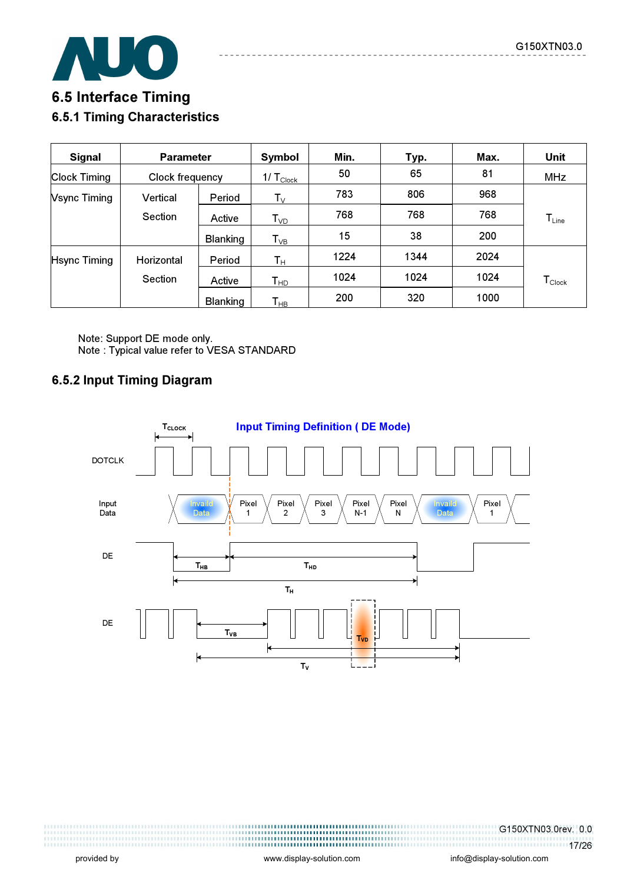

# 6.5 Interface Timing 6.5.1 Timing Characteristics

| <b>Signal</b>       | <b>Parameter</b> |                 | Symbol                     | Min. | Typ. | Max. | Unit                          |
|---------------------|------------------|-----------------|----------------------------|------|------|------|-------------------------------|
| <b>Clock Timing</b> | Clock frequency  |                 | 1/ $T_{\text{Clock}}$      | 50   | 65   | 81   | <b>MHz</b>                    |
| <b>Vsync Timing</b> | Vertical         | Period          | $\mathsf{T}_\mathsf{V}$    | 783  | 806  | 968  |                               |
|                     | Section          | Active          | $\mathsf{T}_{\textsf{VD}}$ | 768  | 768  | 768  | $T_{Line}$                    |
|                     |                  | <b>Blanking</b> | $T_{VB}$                   | 15   | 38   | 200  |                               |
| <b>Hsync Timing</b> | Horizontal       | Period          | $\mathsf{T}_\mathsf{H}$    | 1224 | 1344 | 2024 |                               |
|                     | <b>Section</b>   | Active          | $T_{HD}$                   | 1024 | 1024 | 1024 | $\mathsf{T}_{\mathsf{Clock}}$ |
|                     |                  | <b>Blanking</b> | $\mathsf{T}_{\mathsf{HB}}$ | 200  | 320  | 1000 |                               |

Note: Support DE mode only. Note : Typical value refer to VESA STANDARD

#### 6.5.2 Input Timing Diagram



G150XTN03.0rev. 0.0 17/26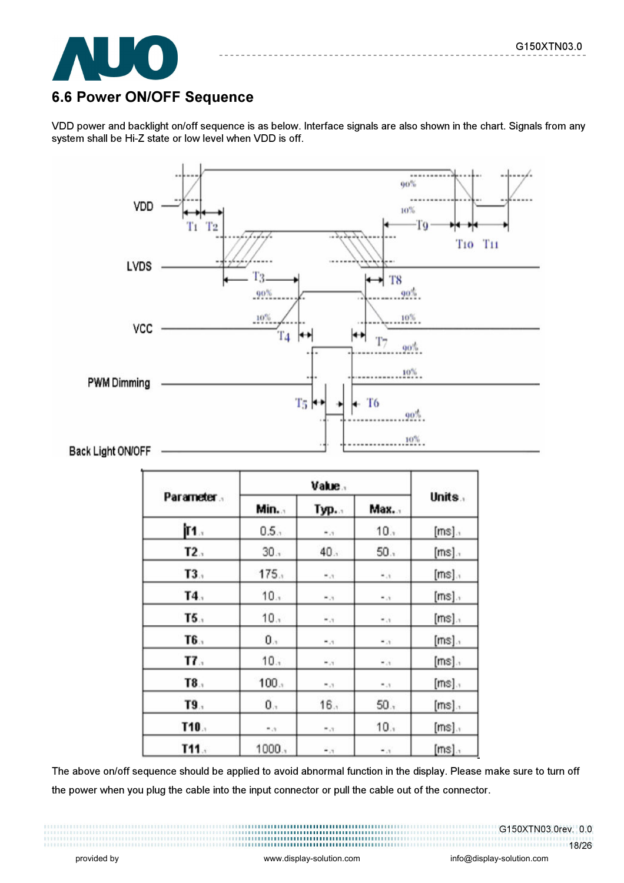

# 6.6 Power ON/OFF Sequence

VDD power and backlight on/off sequence is as below. Interface signals are also shown in the chart. Signals from any system shall be Hi-Z state or low level when VDD is off.



|            | Value. |                      |                         |          |
|------------|--------|----------------------|-------------------------|----------|
| Parameter. | Min    | Тур.                 | Max.                    | Units.   |
| İ٢1.       | 0.5.   | $\bullet$ .7         | 10.7                    | $[ms]$ . |
| T2.5       | 30.1   | 40.1                 | 50.1                    | $[ms]$ . |
| T3.        | 175.   | $r_{\rm e}$ =        | $\epsilon$ , $\epsilon$ | $[ms]$ . |
| T4.        | 10.1   | $\sim 10$            | $\tau$ .                | $[ms]$ . |
| T5.        | 10.1   | $\mathbf{r}_{\star}$ | $\epsilon$ .            | $[ms]$ . |
| T6.        | 0.1    | $\tau$ .             | $\tau$ .                | $[ms]$ . |
| T7.        | 10.1   | $F_{1}$              | $\tau$ , $\tau$         | $[ms]$ . |
| T8.        | 100.   | 5.3                  | 7.3                     | $[ms]$ . |
| T9.        | 0.7    | 16.1                 | 50.7                    | $[ms]$ . |
| T10.       | 7.37   | 7.37                 | 10.1                    | $[ms]$ . |
| T11.       | 1000.  | $\ddot{\phantom{0}}$ | $r_{\rm c}$             | $[ms]$ . |

The above on/off sequence should be applied to avoid abnormal function in the display. Please make sure to turn off the power when you plug the cable into the input connector or pull the cable out of the connector.

G150XTN03.0rev. 0.0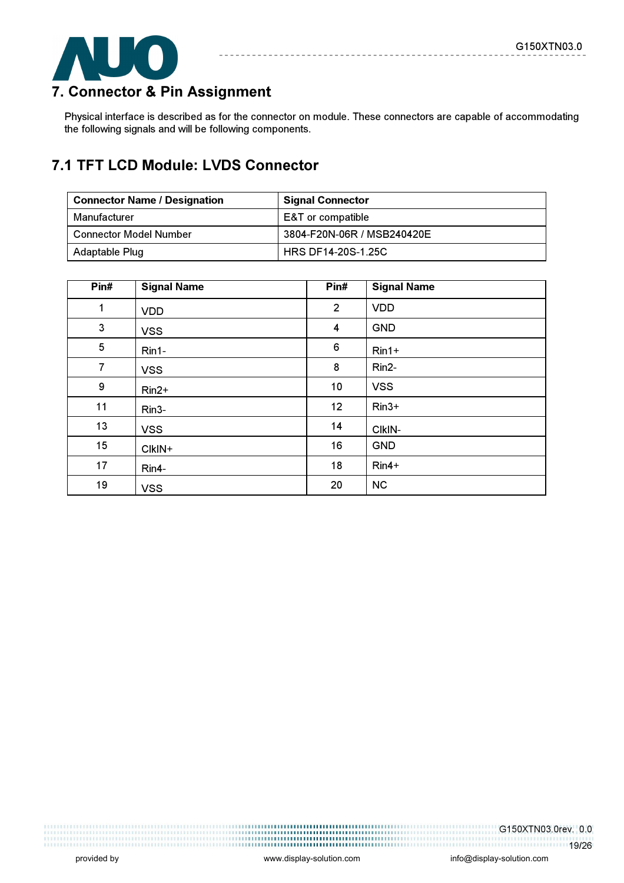

# 7. Connector & Pin Assignment

Physical interface is described as for the connector on module. These connectors are capable of accommodating the following signals and will be following components.

# 7.1 TFT LCD Module: LVDS Connector

| <b>Connector Name / Designation</b> | <b>Signal Connector</b>    |
|-------------------------------------|----------------------------|
| Manufacturer                        | E&T or compatible          |
| <b>Connector Model Number</b>       | 3804-F20N-06R / MSB240420E |
| Adaptable Plug                      | <b>HRS DF14-20S-1.25C</b>  |

| Pin#           | <b>Signal Name</b> | Pin#             | <b>Signal Name</b> |
|----------------|--------------------|------------------|--------------------|
| $\mathbf{1}$   | <b>VDD</b>         | $\overline{2}$   | <b>VDD</b>         |
| 3              | <b>VSS</b>         | 4                | <b>GND</b>         |
| 5              | $Rin1-$            | $\boldsymbol{6}$ | $Rin1+$            |
| $\overline{7}$ | <b>VSS</b>         | 8                | Rin2-              |
| 9              | $Rin2+$            | 10               | <b>VSS</b>         |
| 11             | Rin <sub>3</sub> - | 12               | $Rin3+$            |
| 13             | <b>VSS</b>         | 14               | CIkIN-             |
| 15             | CIkIN+             | 16               | <b>GND</b>         |
| 17             | Rin4-              | 18               | $Rin4+$            |
| 19             | <b>VSS</b>         | 20               | <b>NC</b>          |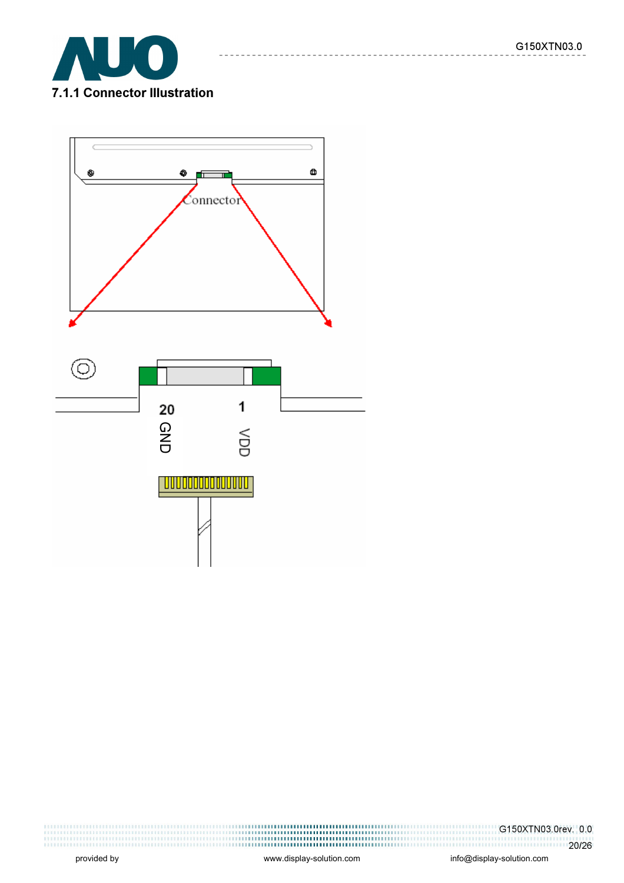$\frac{1}{2}$  =  $\frac{1}{2}$ 





G150XTN03.0rev. 0.0 20/26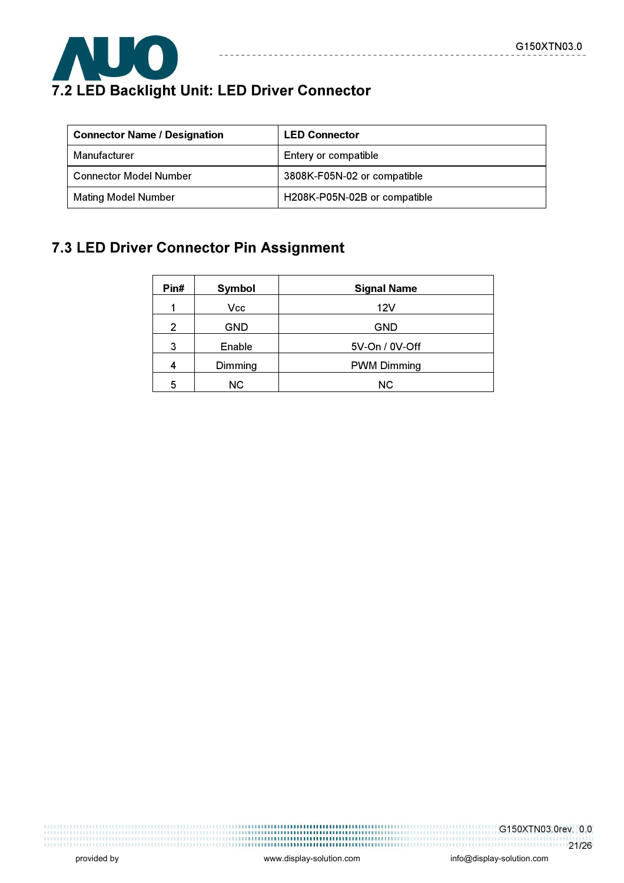

# 7.2 LED Backlight Unit: LED Driver Connector

| <b>Connector Name / Designation</b> | <b>LED Connector</b>         |
|-------------------------------------|------------------------------|
| Manufacturer                        | Entery or compatible         |
| <b>Connector Model Number</b>       | 3808K-F05N-02 or compatible  |
| <b>Mating Model Number</b>          | H208K-P05N-02B or compatible |

\_\_\_\_\_\_\_\_\_\_\_

# 7.3 LED Driver Connector Pin Assignment

| Pin#           | Symbol     | <b>Signal Name</b> |
|----------------|------------|--------------------|
|                | Vcc        | 12V                |
| $\overline{2}$ | <b>GND</b> | <b>GND</b>         |
| 3              | Enable     | 5V-On / 0V-Off     |
|                | Dimming    | <b>PWM Dimming</b> |
| 5              | <b>NC</b>  | NC.                |

G150XTN03.0rev. 0.0 1.1.1.1.1.1.1.1.1.21/26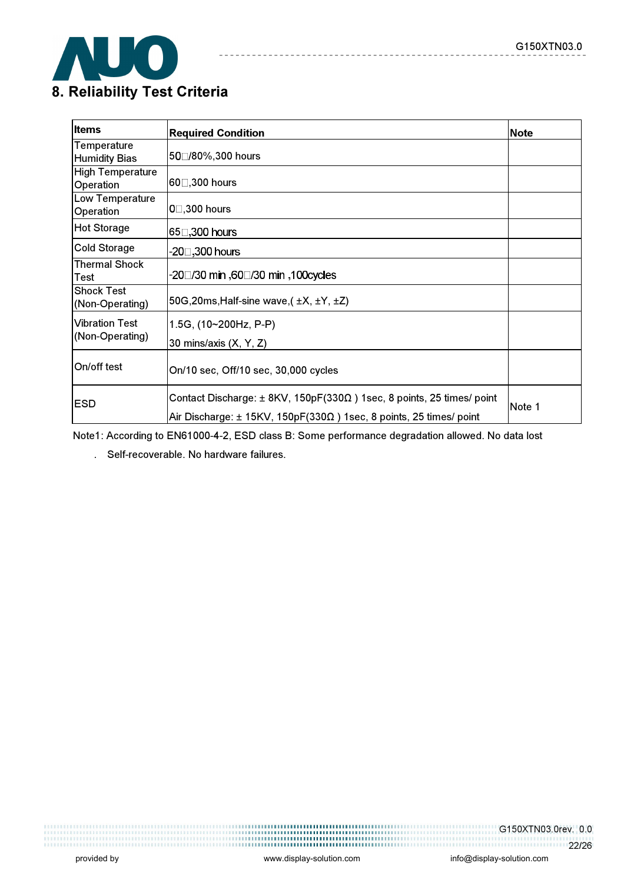

| <b>Items</b>                             | <b>Required Condition</b>                                                                                                                                             | <b>Note</b> |
|------------------------------------------|-----------------------------------------------------------------------------------------------------------------------------------------------------------------------|-------------|
| Temperature<br><b>Humidity Bias</b>      | 50□/80%,300 hours                                                                                                                                                     |             |
| <b>High Temperature</b><br>Operation     | 60□,300 hours                                                                                                                                                         |             |
| Low Temperature<br>Operation             | $0$ $\Box$ ,300 hours                                                                                                                                                 |             |
| <b>Hot Storage</b>                       | 65□,300 hours                                                                                                                                                         |             |
| <b>Cold Storage</b>                      | -20□,300 hours                                                                                                                                                        |             |
| <b>Thermal Shock</b><br>Test             | -20□/30 min ,60□/30 min ,100cycles                                                                                                                                    |             |
| <b>Shock Test</b><br>(Non-Operating)     | 50G, 20ms, Half-sine wave, $(\pm X, \pm Y, \pm Z)$                                                                                                                    |             |
| <b>Vibration Test</b><br>(Non-Operating) | 1.5G, (10~200Hz, P-P)<br>30 mins/axis (X, Y, Z)                                                                                                                       |             |
| On/off test                              | On/10 sec, Off/10 sec, 30,000 cycles                                                                                                                                  |             |
| <b>ESD</b>                               | Contact Discharge: $\pm$ 8KV, 150pF(330 $\Omega$ ) 1sec, 8 points, 25 times/ point<br>Air Discharge: $\pm$ 15KV, 150pF(330 $\Omega$ ) 1sec, 8 points, 25 times/ point | Note 1      |

 $\frac{1}{2}$ 

--------------

Note1: According to EN61000-4-2, ESD class B: Some performance degradation allowed. No data lost

. Self-recoverable. No hardware failures.

G150XTN03.0rev. 0.0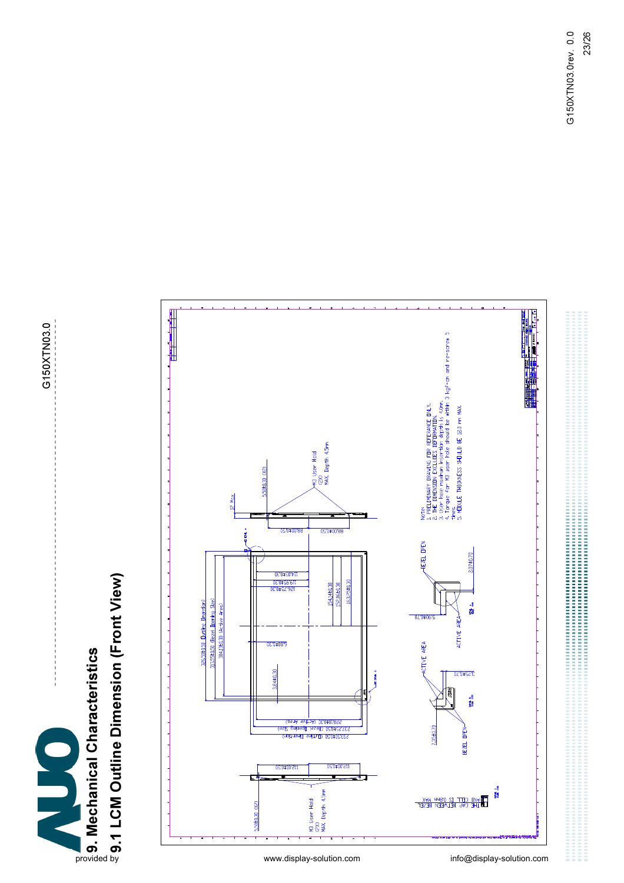

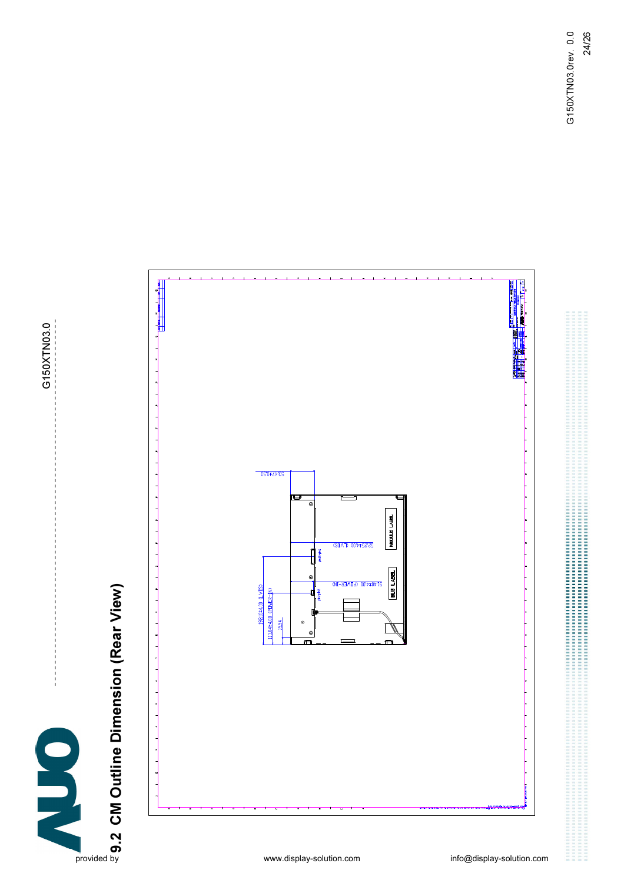G150XTN03.0 G150XTN03.0



9.2 CM Outline Dimension (Rear View)

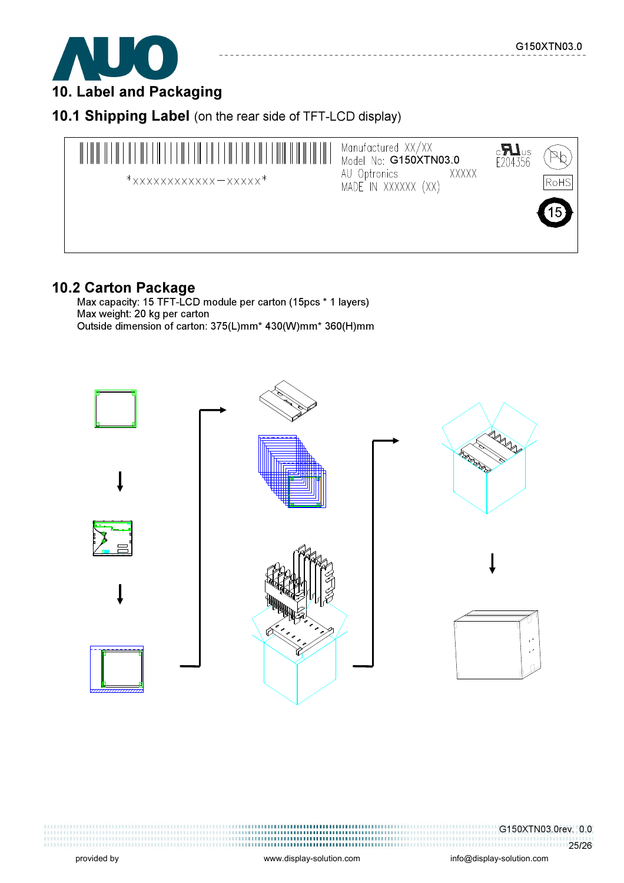

10. Label and Packaging

10.1 Shipping Label (on the rear side of TFT-LCD display)



### 10.2 Carton Package

 Max capacity: 15 TFT-LCD module per carton (15pcs \* 1 layers) Max weight: 20 kg per carton Outside dimension of carton: 375(L)mm\* 430(W)mm\* 360(H)mm



G150XTN03.0rev. 0.0